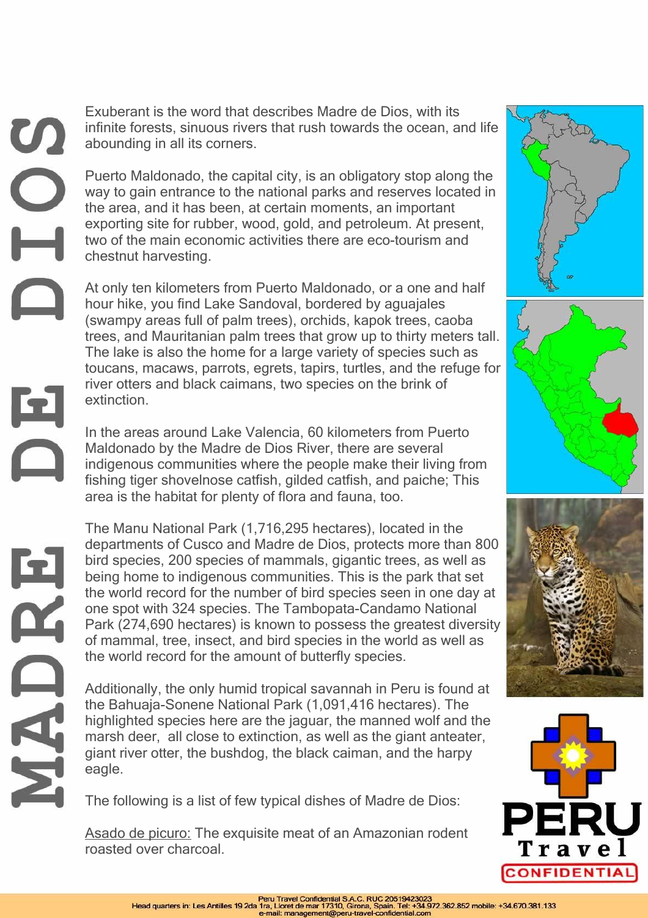Exuberant is the word that describes Madre de Dios, with its infinite forests, sinuous rivers that rush towards the ocean, and life abounding in all its corners.

Puerto Maldonado, the capital city, is an obligatory stop along the way to gain entrance to the national parks and reserves located in the area, and it has been, at certain moments, an important exporting site for rubber, wood, gold, and petroleum. At present, two of the main economic activities there are eco-tourism and chestnut harvesting.

At only ten kilometers from Puerto Maldonado, or a one and half hour hike, you find Lake Sandoval, bordered by aguajales (swampy areas full of palm trees), orchids, kapok trees, caoba trees, and Mauritanian palm trees that grow up to thirty meters tall. The lake is also the home for a large variety of species such as toucans, macaws, parrots, egrets, tapirs, turtles, and the refuge for river otters and black caimans, two species on the brink of extinction.

In the areas around Lake Valencia, 60 kilometers from Puerto Maldonado by the Madre de Dios River, there are several indigenous communities where the people make their living from fishing tiger shovelnose catfish, gilded catfish, and paiche; This area is the habitat for plenty of flora and fauna, too.

The Manu National Park (1,716,295 hectares), located in the departments of Cusco and Madre de Dios, protects more than 800 bird species, 200 species of mammals, gigantic trees, as well as being home to indigenous communities. This is the park that set the world record for the number of bird species seen in one day at one spot with 324 species. The Tambopata-Candamo National Park (274,690 hectares) is known to possess the greatest diversity of mammal, tree, insect, and bird species in the world as well as the world record for the amount of butterfly species.

Additionally, the only humid tropical savannah in Peru is found at the Bahuaja-Sonene National Park (1,091,416 hectares). The highlighted species here are the jaguar, the manned wolf and the marsh deer, all close to extinction, as well as the giant anteater, giant river otter, the bushdog, the black caiman, and the harpy eagle.

The following is a list of few typical dishes of Madre de Dios:

Asado de picuro: The exquisite meat of an Amazonian rodent roasted over charcoal.